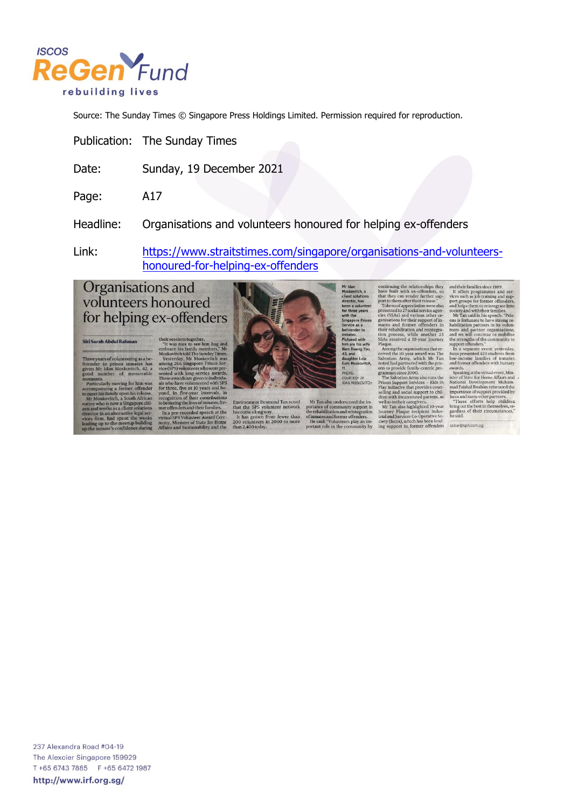

Source: The Sunday Times © Singapore Press Holdings Limited. Permission required for reproduction.

Publication: The Sunday Times

Sunday, 19 December 2021 Date:

Page: A17

Headline: Organisations and volunteers honoured for helping ex-offenders

https://www.straitstimes.com/singapore/organisations-and-volunteers-Link: honoured-for-helping-ex-offenders

## Organisations and volunteers honoured for helping ex-offenders

## Siti Sarah Abdul Rahman

ars of volunteering as a be-<br>single in inmates has er to prison inmates has<br>Mr Idan Moskovitch, 42, a<br>number of memorable

numeration<br>
and the main of the main standard and the history moving for him was<br>
his family upon his relaxes<br>
oskovitch, a South African<br>
who is now a Singapore citivity who is a stellar solution<br>
y mors as a client studi

their sessions together. "It was niee to see him hug and "It was niee to see him hug and "It was niee to see him by removed in the Moskovich values and Moskovich was various anomy 266 Singapore Prison Service (SPS) obunde



Environment Desmond Tan noted<br>that the SPS volunteer network<br>has come along way.<br>It has grown from fewer than<br>200 volunteers in 2000 to more<br>than 2,400 today.

Mr Idar

oro.

 $\,$  Mr Tan also underscored the importance of community support in the rehabilitation and reintegration of immates and former offenders. He said: "Volunteers play an important role in the community by

continuing the realationships they have built with ex-offenders, so that they can rened rather their supercontinuo prototo them after their respective presented to 27 social services (respectively) cresses (respectively)

and their families since 1989. It offers programmes and services such as job training and support groups for former or<br>directions point groups for former orientales, and helps then to relate<br>the scatter of the scale of th

awards. Specing the virtual event, Minister of State for Home Affinits and National Development Muhammad Faishal Instant man mad Faishal Instant meterated the length of the specific specifies on the best in the best in be

ssbar@sph.com.sg

237 Alexandra Road #04-19 The Alexcier Singapore 159929 T +65 6743 7885 F +65 6472 1987 http://www.irf.org.sg/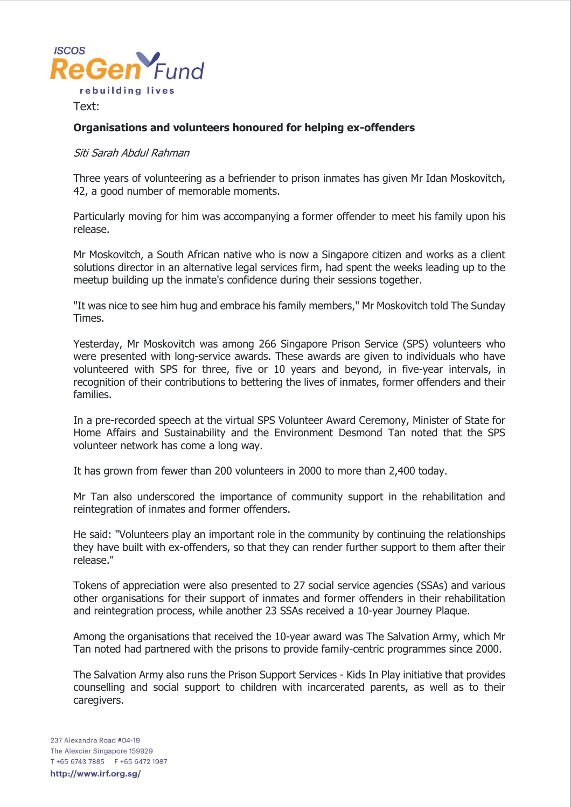

Text:

## **Organisations and volunteers honoured for helping ex-offenders**

## Siti Sarah Abdul Rahman

Three years of volunteering as a befriender to prison inmates has given Mr Idan Moskovitch, 42, a good number of memorable moments.

Particularly moving for him was accompanying a former offender to meet his family upon his release.

Mr Moskovitch, a South African native who is now a Singapore citizen and works as a client solutions director in an alternative legal services firm, had spent the weeks leading up to the meetup building up the inmate's confidence during their sessions together.

"It was nice to see him hug and embrace his family members," Mr Moskovitch told The Sunday Times.

Yesterday, Mr Moskovitch was among 266 Singapore Prison Service (SPS) volunteers who were presented with long-service awards. These awards are given to individuals who have volunteered with SPS for three, five or 10 years and beyond, in five-year intervals, in recognition of their contributions to bettering the lives of inmates, former offenders and their families.

In a pre-recorded speech at the virtual SPS Volunteer Award Ceremony, Minister of State for Home Affairs and Sustainability and the Environment Desmond Tan noted that the SPS volunteer network has come a long way.

It has grown from fewer than 200 volunteers in 2000 to more than 2,400 today.

Mr Tan also underscored the importance of community support in the rehabilitation and reintegration of inmates and former offenders.

He said: "Volunteers play an important role in the community by continuing the relationships they have built with ex-offenders, so that they can render further support to them after their release."

Tokens of appreciation were also presented to 27 social service agencies (SSAs) and various other organisations for their support of inmates and former offenders in their rehabilitation and reintegration process, while another 23 SSAs received a 10-year Journey Plaque.

Among the organisations that received the 10-year award was The Salvation Army, which Mr Tan noted had partnered with the prisons to provide family-centric programmes since 2000.

The Salvation Army also runs the Prison Support Services - Kids In Play initiative that provides counselling and social support to children with incarcerated parents, as well as to their caregivers.